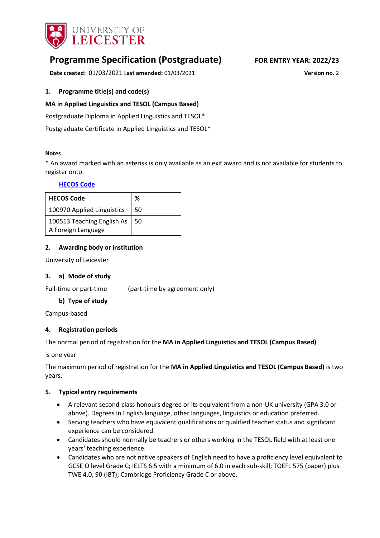

# **Programme Specification (Postgraduate) FOR ENTRY YEAR: 2022/23**

**Date created:** 01/03/2021 L**ast amended:** 01/03/2021 **Version no.** 2

### <span id="page-0-0"></span>**1. Programme title(s) and code(s)**

### **MA in Applied Linguistics and TESOL (Campus Based)**

Postgraduate Diploma in Applied Linguistics and TESOL\*

Postgraduate Certificate in Applied Linguistics and TESOL\*

#### **Notes**

\* An award marked with an asterisk is only available as an exit award and is not available for students to register onto.

#### **[HECOS Code](https://www.hesa.ac.uk/innovation/hecos)**

| <b>HECOS Code</b>                                | ℅    |
|--------------------------------------------------|------|
| 100970 Applied Linguistics                       | -50  |
| 100513 Teaching English As<br>A Foreign Language | l 50 |

### **2. Awarding body or institution**

University of Leicester

#### **3. a) Mode of study**

Full-time or part-time (part-time by agreement only)

#### **b) Type of study**

Campus-based

#### **4. Registration periods**

The normal period of registration for the **MA in Applied Linguistics and TESOL (Campus Based)**

is one year

The maximum period of registration for the **MA in Applied Linguistics and TESOL (Campus Based)** is two years.

#### **5. Typical entry requirements**

- A relevant second-class honours degree or its equivalent from a non-UK university (GPA 3.0 or above). Degrees in English language, other languages, linguistics or education preferred.
- Serving teachers who have equivalent qualifications or qualified teacher status and significant experience can be considered.
- Candidates should normally be teachers or others working in the TESOL field with at least one years' teaching experience.
- Candidates who are not native speakers of English need to have a proficiency level equivalent to GCSE O level Grade C; IELTS 6.5 with a minimum of 6.0 in each sub-skill; TOEFL 575 (paper) plus TWE 4.0, 90 (IBT); Cambridge Proficiency Grade C or above.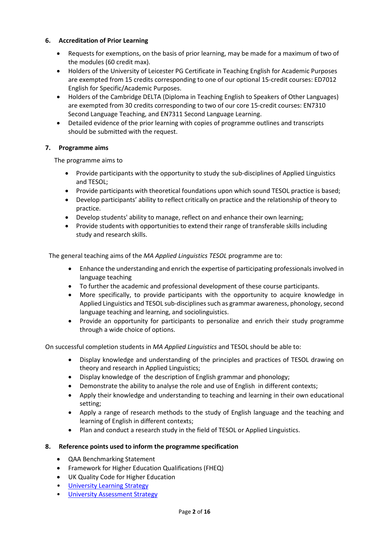### **6. Accreditation of Prior Learning**

- Requests for exemptions, on the basis of prior learning, may be made for a maximum of two of the modules (60 credit max).
- Holders of the University of Leicester PG Certificate in Teaching English for Academic Purposes are exempted from 15 credits corresponding to one of our optional 15-credit courses: ED7012 English for Specific/Academic Purposes.
- Holders of the Cambridge DELTA (Diploma in Teaching English to Speakers of Other Languages) are exempted from 30 credits corresponding to two of our core 15-credit courses: EN7310 Second Language Teaching, and EN7311 Second Language Learning.
- Detailed evidence of the prior learning with copies of programme outlines and transcripts should be submitted with the request.

# **7. Programme aims**

The programme aims to

- Provide participants with the opportunity to study the sub-disciplines of Applied Linguistics and TESOL;
- Provide participants with theoretical foundations upon which sound TESOL practice is based;
- Develop participants' ability to reflect critically on practice and the relationship of theory to practice.
- Develop students' ability to manage, reflect on and enhance their own learning;
- Provide students with opportunities to extend their range of transferable skills including study and research skills.

The general teaching aims of the *MA Applied Linguistics TESOL* programme are to:

- Enhance the understanding and enrich the expertise of participating professionals involved in language teaching
- To further the academic and professional development of these course participants.
- More specifically, to provide participants with the opportunity to acquire knowledge in Applied Linguistics and TESOL sub-disciplines such as grammar awareness, phonology, second language teaching and learning, and sociolinguistics.
- Provide an opportunity for participants to personalize and enrich their study programme through a wide choice of options.

On successful completion students in *MA Applied Linguistics* and TESOL should be able to:

- Display knowledge and understanding of the principles and practices of TESOL drawing on theory and research in Applied Linguistics;
- Display knowledge of the description of English grammar and phonology;
- Demonstrate the ability to analyse the role and use of English in different contexts;
- Apply their knowledge and understanding to teaching and learning in their own educational setting;
- Apply a range of research methods to the study of English language and the teaching and learning of English in different contexts;
- Plan and conduct a research study in the field of TESOL or Applied Linguistics.

### **8. Reference points used to inform the programme specification**

- QAA Benchmarking Statement
- Framework for Higher Education Qualifications (FHEQ)
- UK Quality Code for Higher Education
- [University Learning](https://www2.le.ac.uk/offices/sas2/quality/learnteach) Strategy
- [University Assessment Strategy](https://www2.le.ac.uk/offices/sas2/quality/learnteach)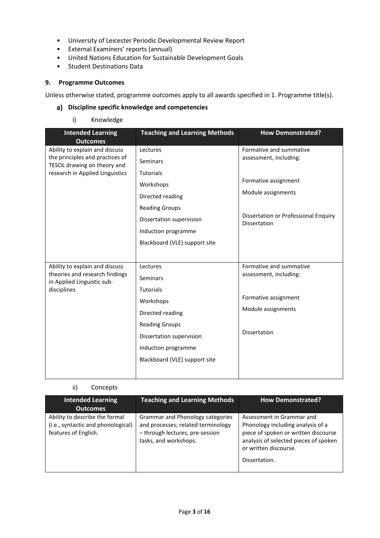- University of Leicester Periodic Developmental Review Report
- External Examiners' reports (annual)
- United Nations Education for Sustainable Development Goals
- Student Destinations Data

#### **9. Programme Outcomes**

Unless otherwise stated, programme outcomes apply to all awards specified in [1.](#page-0-0) Programme title(s).

### **Discipline specific knowledge and competencies**

i) Knowledge

| <b>Intended Learning</b><br><b>Outcomes</b>                    | <b>Teaching and Learning Methods</b> | <b>How Demonstrated?</b>                                    |
|----------------------------------------------------------------|--------------------------------------|-------------------------------------------------------------|
| Ability to explain and discuss                                 | Lectures                             | Formative and summative                                     |
| the principles and practices of<br>TESOL drawing on theory and | <b>Seminars</b>                      | assessment, including:                                      |
| research in Applied Linguistics                                | <b>Tutorials</b>                     |                                                             |
|                                                                | Workshops                            | Formative assignment                                        |
|                                                                | Directed reading                     | Module assignments                                          |
|                                                                | <b>Reading Groups</b>                |                                                             |
|                                                                | Dissertation supervision             | Dissertation or Professional Enquiry<br><b>Dissertation</b> |
|                                                                | Induction programme                  |                                                             |
|                                                                | Blackboard (VLE) support site        |                                                             |
|                                                                |                                      |                                                             |
| Ability to explain and discuss                                 | Lectures                             | Formative and summative                                     |
| theories and research findings<br>in Applied Linguistic sub-   | Seminars                             | assessment, including:                                      |
| disciplines                                                    | <b>Tutorials</b>                     |                                                             |
|                                                                | Workshops                            | Formative assignment                                        |
|                                                                | Directed reading                     | Module assignments                                          |
|                                                                | <b>Reading Groups</b>                |                                                             |
|                                                                | Dissertation supervision             | Dissertation                                                |
|                                                                | Induction programme                  |                                                             |
|                                                                | Blackboard (VLE) support site        |                                                             |
|                                                                |                                      |                                                             |

### ii) Concepts

| <b>Intended Learning</b><br><b>Outcomes</b>                                                  | <b>Teaching and Learning Methods</b>                                                                                               | <b>How Demonstrated?</b>                                                                                                                                                                  |
|----------------------------------------------------------------------------------------------|------------------------------------------------------------------------------------------------------------------------------------|-------------------------------------------------------------------------------------------------------------------------------------------------------------------------------------------|
| Ability to describe the formal<br>(i.e., syntactic and phonological)<br>features of English. | Grammar and Phonology categories<br>and processes; related terminology<br>- through lectures, pre-session<br>tasks, and workshops. | Assessment in Grammar and<br>Phonology including analysis of a<br>piece of spoken or written discourse<br>analysis of selected pieces of spoken<br>or written discourse.<br>Dissertation. |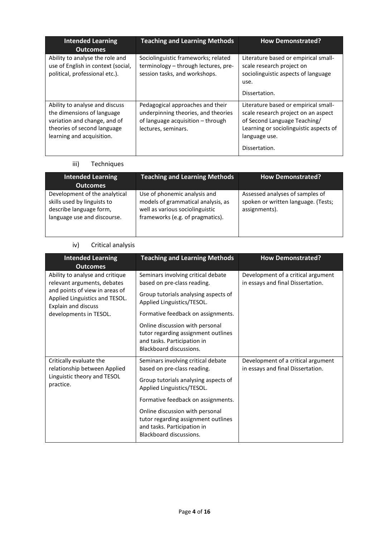| <b>Intended Learning</b><br><b>Outcomes</b>                                                                                                              | <b>Teaching and Learning Methods</b>                                                                                                | <b>How Demonstrated?</b>                                                                                                                                                                |
|----------------------------------------------------------------------------------------------------------------------------------------------------------|-------------------------------------------------------------------------------------------------------------------------------------|-----------------------------------------------------------------------------------------------------------------------------------------------------------------------------------------|
| Ability to analyse the role and<br>use of English in context (social,<br>political, professional etc.).                                                  | Sociolinguistic frameworks; related<br>terminology - through lectures, pre-<br>session tasks, and workshops.                        | Literature based or empirical small-<br>scale research project on<br>sociolinguistic aspects of language<br>use.<br>Dissertation.                                                       |
| Ability to analyse and discuss<br>the dimensions of language<br>variation and change, and of<br>theories of second language<br>learning and acquisition. | Pedagogical approaches and their<br>underpinning theories, and theories<br>of language acquisition - through<br>lectures, seminars. | Literature based or empirical small-<br>scale research project on an aspect<br>of Second Language Teaching/<br>Learning or sociolinguistic aspects of<br>language use.<br>Dissertation. |

# iii) Techniques

| <b>Intended Learning</b><br><b>Outcomes</b>                                                                            | <b>Teaching and Learning Methods</b>                                                                                                      | <b>How Demonstrated?</b>                                                                |
|------------------------------------------------------------------------------------------------------------------------|-------------------------------------------------------------------------------------------------------------------------------------------|-----------------------------------------------------------------------------------------|
| Development of the analytical<br>skills used by linguists to<br>describe language form,<br>language use and discourse. | Use of phonemic analysis and<br>models of grammatical analysis, as<br>well as various sociolinguistic<br>frameworks (e.g. of pragmatics). | Assessed analyses of samples of<br>spoken or written language. (Tests;<br>assignments). |

# iv) Critical analysis

| <b>Intended Learning</b><br><b>Outcomes</b>                                                                                                                      | <b>Teaching and Learning Methods</b>                                                                                                                                          | <b>How Demonstrated?</b>                                                |
|------------------------------------------------------------------------------------------------------------------------------------------------------------------|-------------------------------------------------------------------------------------------------------------------------------------------------------------------------------|-------------------------------------------------------------------------|
| Ability to analyse and critique<br>relevant arguments, debates<br>and points of view in areas of<br>Applied Linguistics and TESOL.<br><b>Explain and discuss</b> | Seminars involving critical debate<br>based on pre-class reading.<br>Group tutorials analysing aspects of<br>Applied Linguistics/TESOL.                                       | Development of a critical argument<br>in essays and final Dissertation. |
| developments in TESOL.                                                                                                                                           | Formative feedback on assignments.<br>Online discussion with personal<br>tutor regarding assignment outlines<br>and tasks. Participation in<br>Blackboard discussions.        |                                                                         |
| Critically evaluate the<br>relationship between Applied<br>Linguistic theory and TESOL<br>practice.                                                              | Seminars involving critical debate<br>based on pre-class reading.<br>Group tutorials analysing aspects of<br>Applied Linguistics/TESOL.<br>Formative feedback on assignments. | Development of a critical argument<br>in essays and final Dissertation. |
|                                                                                                                                                                  | Online discussion with personal<br>tutor regarding assignment outlines<br>and tasks. Participation in<br>Blackboard discussions.                                              |                                                                         |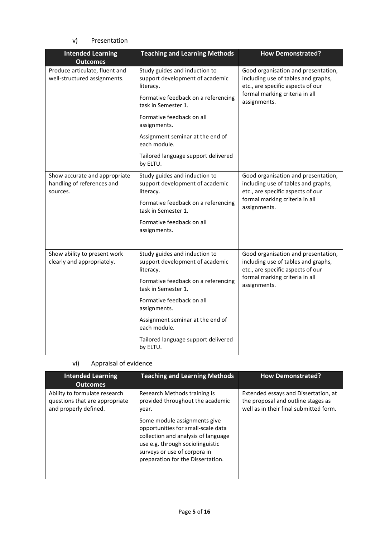### v) Presentation

| <b>Intended Learning</b><br><b>Outcomes</b>                             | <b>Teaching and Learning Methods</b>                                          | <b>How Demonstrated?</b>                                                                                                                                          |
|-------------------------------------------------------------------------|-------------------------------------------------------------------------------|-------------------------------------------------------------------------------------------------------------------------------------------------------------------|
| Produce articulate, fluent and<br>well-structured assignments.          | Study guides and induction to<br>support development of academic<br>literacy. | Good organisation and presentation,<br>including use of tables and graphs,<br>etc., are specific aspects of our                                                   |
|                                                                         | Formative feedback on a referencing<br>task in Semester 1.                    | formal marking criteria in all<br>assignments.                                                                                                                    |
|                                                                         | Formative feedback on all<br>assignments.                                     |                                                                                                                                                                   |
|                                                                         | Assignment seminar at the end of<br>each module.                              |                                                                                                                                                                   |
|                                                                         | Tailored language support delivered<br>by ELTU.                               |                                                                                                                                                                   |
| Show accurate and appropriate<br>handling of references and<br>sources. | Study guides and induction to<br>support development of academic<br>literacy. | Good organisation and presentation,<br>including use of tables and graphs,<br>etc., are specific aspects of our<br>formal marking criteria in all<br>assignments. |
|                                                                         | Formative feedback on a referencing<br>task in Semester 1.                    |                                                                                                                                                                   |
|                                                                         | Formative feedback on all<br>assignments.                                     |                                                                                                                                                                   |
| Show ability to present work<br>clearly and appropriately.              | Study guides and induction to<br>support development of academic<br>literacy. | Good organisation and presentation,<br>including use of tables and graphs,<br>etc., are specific aspects of our                                                   |
|                                                                         | Formative feedback on a referencing<br>task in Semester 1.                    | formal marking criteria in all<br>assignments.                                                                                                                    |
|                                                                         | Formative feedback on all<br>assignments.                                     |                                                                                                                                                                   |
|                                                                         | Assignment seminar at the end of<br>each module.                              |                                                                                                                                                                   |
|                                                                         | Tailored language support delivered<br>by ELTU.                               |                                                                                                                                                                   |

# vi) Appraisal of evidence

| <b>Intended Learning</b><br><b>Outcomes</b>                                              | <b>Teaching and Learning Methods</b>                                                                                                                                                                                                                       | <b>How Demonstrated?</b>                                                                                             |
|------------------------------------------------------------------------------------------|------------------------------------------------------------------------------------------------------------------------------------------------------------------------------------------------------------------------------------------------------------|----------------------------------------------------------------------------------------------------------------------|
| Ability to formulate research<br>questions that are appropriate<br>and properly defined. | Research Methods training is<br>provided throughout the academic<br>year.<br>Some module assignments give<br>opportunities for small-scale data<br>collection and analysis of language<br>use e.g. through sociolinguistic<br>surveys or use of corpora in | Extended essays and Dissertation, at<br>the proposal and outline stages as<br>well as in their final submitted form. |
|                                                                                          | preparation for the Dissertation.                                                                                                                                                                                                                          |                                                                                                                      |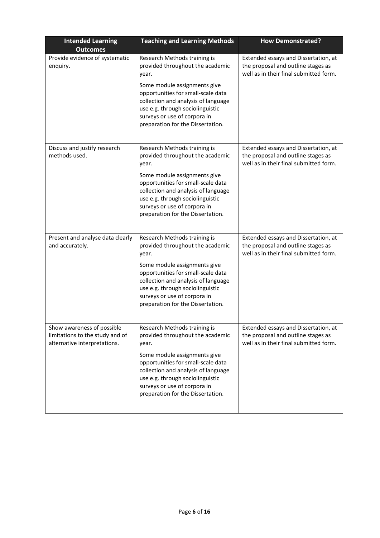| <b>Intended Learning</b><br><b>Outcomes</b>                                                   | <b>Teaching and Learning Methods</b>                                                                                                                                                                                                                                                            | <b>How Demonstrated?</b>                                                                                             |
|-----------------------------------------------------------------------------------------------|-------------------------------------------------------------------------------------------------------------------------------------------------------------------------------------------------------------------------------------------------------------------------------------------------|----------------------------------------------------------------------------------------------------------------------|
| Provide evidence of systematic<br>enquiry.                                                    | Research Methods training is<br>provided throughout the academic<br>year.<br>Some module assignments give<br>opportunities for small-scale data<br>collection and analysis of language<br>use e.g. through sociolinguistic<br>surveys or use of corpora in<br>preparation for the Dissertation. | Extended essays and Dissertation, at<br>the proposal and outline stages as<br>well as in their final submitted form. |
| Discuss and justify research<br>methods used.                                                 | Research Methods training is<br>provided throughout the academic<br>year.<br>Some module assignments give<br>opportunities for small-scale data<br>collection and analysis of language<br>use e.g. through sociolinguistic<br>surveys or use of corpora in<br>preparation for the Dissertation. | Extended essays and Dissertation, at<br>the proposal and outline stages as<br>well as in their final submitted form. |
| Present and analyse data clearly<br>and accurately.                                           | Research Methods training is<br>provided throughout the academic<br>year.<br>Some module assignments give<br>opportunities for small-scale data<br>collection and analysis of language<br>use e.g. through sociolinguistic<br>surveys or use of corpora in<br>preparation for the Dissertation. | Extended essays and Dissertation, at<br>the proposal and outline stages as<br>well as in their final submitted form. |
| Show awareness of possible<br>limitations to the study and of<br>alternative interpretations. | Research Methods training is<br>provided throughout the academic<br>year.<br>Some module assignments give<br>opportunities for small-scale data<br>collection and analysis of language<br>use e.g. through sociolinguistic<br>surveys or use of corpora in<br>preparation for the Dissertation. | Extended essays and Dissertation, at<br>the proposal and outline stages as<br>well as in their final submitted form. |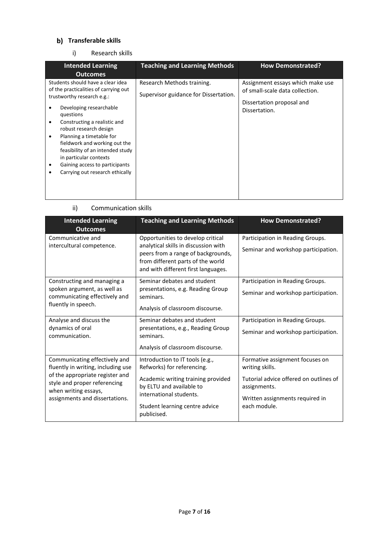# **Transferable skills**

i) Research skills

| <b>Intended Learning</b><br><b>Outcomes</b>                                                                                                                                                                                                                                                                                                                                                                          | <b>Teaching and Learning Methods</b>                                | <b>How Demonstrated?</b>                                                                                          |
|----------------------------------------------------------------------------------------------------------------------------------------------------------------------------------------------------------------------------------------------------------------------------------------------------------------------------------------------------------------------------------------------------------------------|---------------------------------------------------------------------|-------------------------------------------------------------------------------------------------------------------|
| Students should have a clear idea<br>of the practicalities of carrying out<br>trustworthy research e.g.:<br>Developing researchable<br>questions<br>Constructing a realistic and<br>٠<br>robust research design<br>Planning a timetable for<br>٠<br>fieldwork and working out the<br>feasibility of an intended study<br>in particular contexts<br>Gaining access to participants<br>Carrying out research ethically | Research Methods training.<br>Supervisor guidance for Dissertation. | Assignment essays which make use<br>of small-scale data collection.<br>Dissertation proposal and<br>Dissertation. |

### ii) Communication skills

| <b>Intended Learning</b>                                                                | <b>Teaching and Learning Methods</b>                                                                                                                   | <b>How Demonstrated?</b>                               |
|-----------------------------------------------------------------------------------------|--------------------------------------------------------------------------------------------------------------------------------------------------------|--------------------------------------------------------|
| <b>Outcomes</b>                                                                         |                                                                                                                                                        |                                                        |
| Communicative and                                                                       | Opportunities to develop critical                                                                                                                      | Participation in Reading Groups.                       |
| intercultural competence.                                                               | analytical skills in discussion with<br>peers from a range of backgrounds,<br>from different parts of the world<br>and with different first languages. | Seminar and workshop participation.                    |
| Constructing and managing a                                                             | Seminar debates and student                                                                                                                            | Participation in Reading Groups.                       |
| spoken argument, as well as<br>communicating effectively and                            | presentations, e.g. Reading Group<br>seminars.                                                                                                         | Seminar and workshop participation.                    |
| fluently in speech.                                                                     | Analysis of classroom discourse.                                                                                                                       |                                                        |
| Analyse and discuss the                                                                 | Seminar debates and student                                                                                                                            | Participation in Reading Groups.                       |
| dynamics of oral<br>communication.                                                      | presentations, e.g., Reading Group<br>seminars.                                                                                                        | Seminar and workshop participation.                    |
|                                                                                         | Analysis of classroom discourse.                                                                                                                       |                                                        |
| Communicating effectively and                                                           | Introduction to IT tools (e.g.,                                                                                                                        | Formative assignment focuses on                        |
| fluently in writing, including use                                                      | Refworks) for referencing.                                                                                                                             | writing skills.                                        |
| of the appropriate register and<br>style and proper referencing<br>when writing essays, | Academic writing training provided<br>by ELTU and available to<br>international students.                                                              | Tutorial advice offered on outlines of<br>assignments. |
| assignments and dissertations.                                                          | Student learning centre advice                                                                                                                         | Written assignments required in<br>each module.        |
|                                                                                         | publicised.                                                                                                                                            |                                                        |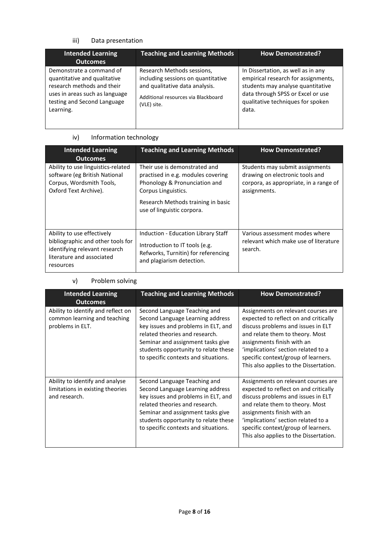# iii) Data presentation

| <b>Intended Learning</b><br><b>Outcomes</b>                                                                                                                          | <b>Teaching and Learning Methods</b>                                                                                                                     | <b>How Demonstrated?</b>                                                                                                                                                                          |
|----------------------------------------------------------------------------------------------------------------------------------------------------------------------|----------------------------------------------------------------------------------------------------------------------------------------------------------|---------------------------------------------------------------------------------------------------------------------------------------------------------------------------------------------------|
| Demonstrate a command of<br>quantitative and qualitative<br>research methods and their<br>uses in areas such as language<br>testing and Second Language<br>Learning. | Research Methods sessions,<br>including sessions on quantitative<br>and qualitative data analysis.<br>Additional resources via Blackboard<br>(VLE) site. | In Dissertation, as well as in any<br>empirical research for assignments,<br>students may analyse quantitative<br>data through SPSS or Excel or use<br>qualitative techniques for spoken<br>data. |

### iv) Information technology

| <b>Intended Learning</b><br><b>Outcomes</b>                                                                                                | <b>Teaching and Learning Methods</b>                                                                                                                                                            | <b>How Demonstrated?</b>                                                                                                     |
|--------------------------------------------------------------------------------------------------------------------------------------------|-------------------------------------------------------------------------------------------------------------------------------------------------------------------------------------------------|------------------------------------------------------------------------------------------------------------------------------|
| Ability to use linguistics-related<br>software (eg British National<br>Corpus, Wordsmith Tools,<br>Oxford Text Archive).                   | Their use is demonstrated and<br>practised in e.g. modules covering<br>Phonology & Pronunciation and<br>Corpus Linguistics.<br>Research Methods training in basic<br>use of linguistic corpora. | Students may submit assignments<br>drawing on electronic tools and<br>corpora, as appropriate, in a range of<br>assignments. |
| Ability to use effectively<br>bibliographic and other tools for<br>identifying relevant research<br>literature and associated<br>resources | Induction - Education Library Staff<br>Introduction to IT tools (e.g.<br>Refworks, Turnitin) for referencing<br>and plagiarism detection.                                                       | Various assessment modes where<br>relevant which make use of literature<br>search.                                           |

# v) Problem solving

| <b>Intended Learning</b><br><b>Outcomes</b>                                            | <b>Teaching and Learning Methods</b>                                                                                                                                                                                                                           | <b>How Demonstrated?</b>                                                                                                                                                                                                                                                                                     |
|----------------------------------------------------------------------------------------|----------------------------------------------------------------------------------------------------------------------------------------------------------------------------------------------------------------------------------------------------------------|--------------------------------------------------------------------------------------------------------------------------------------------------------------------------------------------------------------------------------------------------------------------------------------------------------------|
| Ability to identify and reflect on<br>common learning and teaching<br>problems in ELT. | Second Language Teaching and<br>Second Language Learning address<br>key issues and problems in ELT, and<br>related theories and research.<br>Seminar and assignment tasks give<br>students opportunity to relate these<br>to specific contexts and situations. | Assignments on relevant courses are.<br>expected to reflect on and critically<br>discuss problems and issues in ELT<br>and relate them to theory. Most<br>assignments finish with an<br>'implications' section related to a<br>specific context/group of learners.<br>This also applies to the Dissertation. |
| Ability to identify and analyse<br>limitations in existing theories<br>and research.   | Second Language Teaching and<br>Second Language Learning address<br>key issues and problems in ELT, and<br>related theories and research.<br>Seminar and assignment tasks give<br>students opportunity to relate these<br>to specific contexts and situations. | Assignments on relevant courses are.<br>expected to reflect on and critically<br>discuss problems and issues in ELT<br>and relate them to theory. Most<br>assignments finish with an<br>'implications' section related to a<br>specific context/group of learners.<br>This also applies to the Dissertation. |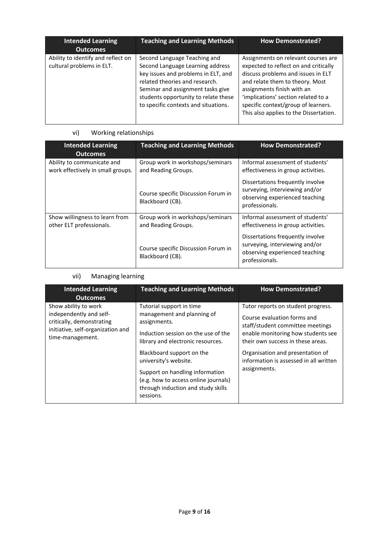| <b>Intended Learning</b><br><b>Outcomes</b>                     | <b>Teaching and Learning Methods</b>                                                                                                                                                                                                                           | <b>How Demonstrated?</b>                                                                                                                                                                                                                                                                                    |
|-----------------------------------------------------------------|----------------------------------------------------------------------------------------------------------------------------------------------------------------------------------------------------------------------------------------------------------------|-------------------------------------------------------------------------------------------------------------------------------------------------------------------------------------------------------------------------------------------------------------------------------------------------------------|
| Ability to identify and reflect on<br>cultural problems in ELT. | Second Language Teaching and<br>Second Language Learning address<br>key issues and problems in ELT, and<br>related theories and research.<br>Seminar and assignment tasks give<br>students opportunity to relate these<br>to specific contexts and situations. | Assignments on relevant courses are<br>expected to reflect on and critically<br>discuss problems and issues in ELT<br>and relate them to theory. Most<br>assignments finish with an<br>'implications' section related to a<br>specific context/group of learners.<br>This also applies to the Dissertation. |

# vi) Working relationships

| <b>Intended Learning</b><br><b>Outcomes</b>                     | <b>Teaching and Learning Methods</b>                    | <b>How Demonstrated?</b>                                                                                               |  |
|-----------------------------------------------------------------|---------------------------------------------------------|------------------------------------------------------------------------------------------------------------------------|--|
| Ability to communicate and<br>work effectively in small groups. | Group work in workshops/seminars<br>and Reading Groups. | Informal assessment of students'<br>effectiveness in group activities.                                                 |  |
|                                                                 | Course specific Discussion Forum in<br>Blackboard (CB). | Dissertations frequently involve<br>surveying, interviewing and/or<br>observing experienced teaching<br>professionals. |  |
| Show willingness to learn from<br>other ELT professionals.      | Group work in workshops/seminars<br>and Reading Groups. | Informal assessment of students'<br>effectiveness in group activities.                                                 |  |
|                                                                 | Course specific Discussion Forum in<br>Blackboard (CB). | Dissertations frequently involve<br>surveying, interviewing and/or<br>observing experienced teaching<br>professionals. |  |

# vii) Managing learning

| <b>Intended Learning</b><br><b>Outcomes</b>                                                                                           | <b>Teaching and Learning Methods</b>                                                                                                                                             | <b>How Demonstrated?</b>                                                                                                                                                         |
|---------------------------------------------------------------------------------------------------------------------------------------|----------------------------------------------------------------------------------------------------------------------------------------------------------------------------------|----------------------------------------------------------------------------------------------------------------------------------------------------------------------------------|
| Show ability to work<br>independently and self-<br>critically, demonstrating<br>initiative, self-organization and<br>time-management. | Tutorial support in time<br>management and planning of<br>assignments.<br>Induction session on the use of the<br>library and electronic resources.                               | Tutor reports on student progress.<br>Course evaluation forms and<br>staff/student committee meetings<br>enable monitoring how students see<br>their own success in these areas. |
|                                                                                                                                       | Blackboard support on the<br>university's website.<br>Support on handling information<br>(e.g. how to access online journals)<br>through induction and study skills<br>sessions. | Organisation and presentation of<br>information is assessed in all written<br>assignments.                                                                                       |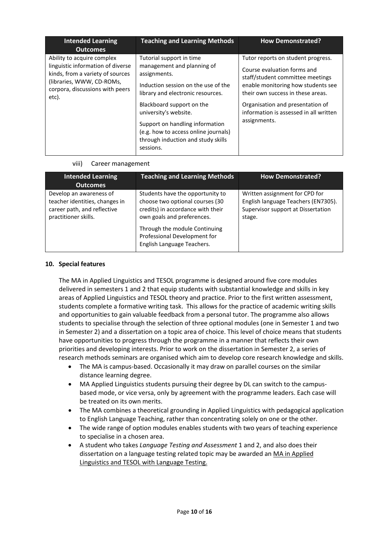| <b>Intended Learning</b><br><b>Outcomes</b>                                                                                                                                  | <b>Teaching and Learning Methods</b>                                                                                                                                                                                                                                                                                                   | <b>How Demonstrated?</b>                                                                                                                                                                                                                                                       |
|------------------------------------------------------------------------------------------------------------------------------------------------------------------------------|----------------------------------------------------------------------------------------------------------------------------------------------------------------------------------------------------------------------------------------------------------------------------------------------------------------------------------------|--------------------------------------------------------------------------------------------------------------------------------------------------------------------------------------------------------------------------------------------------------------------------------|
| Ability to acquire complex<br>linguistic information of diverse<br>kinds, from a variety of sources<br>(libraries, WWW, CD-ROMs,<br>corpora, discussions with peers<br>etc). | Tutorial support in time<br>management and planning of<br>assignments.<br>Induction session on the use of the<br>library and electronic resources.<br>Blackboard support on the<br>university's website.<br>Support on handling information<br>(e.g. how to access online journals)<br>through induction and study skills<br>sessions. | Tutor reports on student progress.<br>Course evaluation forms and<br>staff/student committee meetings<br>enable monitoring how students see<br>their own success in these areas.<br>Organisation and presentation of<br>information is assessed in all written<br>assignments. |

viii) Career management

| <b>Intended Learning</b><br><b>Outcomes</b>                                                                      | <b>Teaching and Learning Methods</b>                                                                                                                                                                                                  | <b>How Demonstrated?</b>                                                                                              |
|------------------------------------------------------------------------------------------------------------------|---------------------------------------------------------------------------------------------------------------------------------------------------------------------------------------------------------------------------------------|-----------------------------------------------------------------------------------------------------------------------|
| Develop an awareness of<br>teacher identities, changes in<br>career path, and reflective<br>practitioner skills. | Students have the opportunity to<br>choose two optional courses (30<br>credits) in accordance with their<br>own goals and preferences.<br>Through the module Continuing<br>Professional Development for<br>English Language Teachers. | Written assignment for CPD for<br>English language Teachers (EN7305).<br>Supervisor support at Dissertation<br>stage. |

### **10. Special features**

The MA in Applied Linguistics and TESOL programme is designed around five core modules delivered in semesters 1 and 2 that equip students with substantial knowledge and skills in key areas of Applied Linguistics and TESOL theory and practice. Prior to the first written assessment, students complete a formative writing task. This allows for the practice of academic writing skills and opportunities to gain valuable feedback from a personal tutor. The programme also allows students to specialise through the selection of three optional modules (one in Semester 1 and two in Semester 2) and a dissertation on a topic area of choice. This level of choice means that students have opportunities to progress through the programme in a manner that reflects their own priorities and developing interests. Prior to work on the dissertation in Semester 2, a series of research methods seminars are organised which aim to develop core research knowledge and skills.

- The MA is campus-based. Occasionally it may draw on parallel courses on the similar distance learning degree.
- MA Applied Linguistics students pursuing their degree by DL can switch to the campusbased mode, or vice versa, only by agreement with the programme leaders. Each case will be treated on its own merits.
- The MA combines a theoretical grounding in Applied Linguistics with pedagogical application to English Language Teaching, rather than concentrating solely on one or the other.
- The wide range of option modules enables students with two years of teaching experience to specialise in a chosen area.
- A student who takes *Language Testing and Assessment* 1 and 2, and also does their dissertation on a language testing related topic may be awarded an MA in Applied Linguistics and TESOL with Language Testing.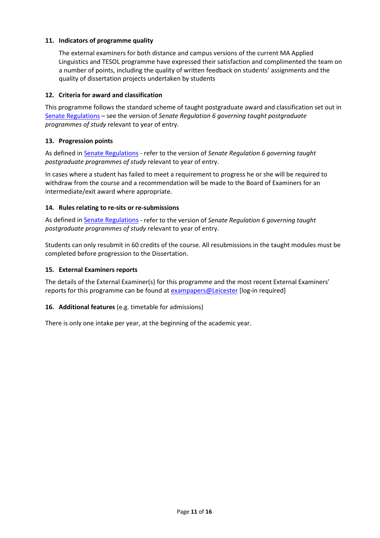### **11. Indicators of programme quality**

The external examiners for both distance and campus versions of the current MA Applied Linguistics and TESOL programme have expressed their satisfaction and complimented the team on a number of points, including the quality of written feedback on students' assignments and the quality of dissertation projects undertaken by students

### **12. Criteria for award and classification**

This programme follows the standard scheme of taught postgraduate award and classification set out in [Senate Regulations](http://www.le.ac.uk/senate-regulations) – see the version of *Senate Regulation 6 governing taught postgraduate programmes of study* relevant to year of entry.

### **13. Progression points**

As defined i[n Senate Regulations](http://www.le.ac.uk/senate-regulation6) - refer to the version of *Senate Regulation 6 governing taught postgraduate programmes of study* relevant to year of entry.

In cases where a student has failed to meet a requirement to progress he or she will be required to withdraw from the course and a recommendation will be made to the Board of Examiners for an intermediate/exit award where appropriate.

### **14. Rules relating to re-sits or re-submissions**

As defined i[n Senate Regulations](http://www.le.ac.uk/senate-regulation6) - refer to the version of *Senate Regulation 6 governing taught postgraduate programmes of study* relevant to year of entry.

Students can only resubmit in 60 credits of the course. All resubmissions in the taught modules must be completed before progression to the Dissertation.

### **15. External Examiners reports**

The details of the External Examiner(s) for this programme and the most recent External Examiners' reports for this programme can be found at [exampapers@Leicester](https://exampapers.le.ac.uk/) [log-in required]

### **16. Additional features** (e.g. timetable for admissions)

There is only one intake per year, at the beginning of the academic year.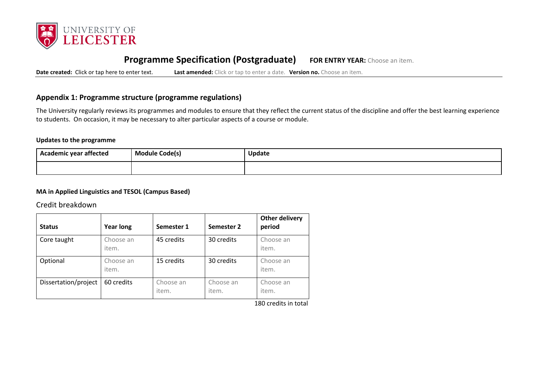

# **Programme Specification (Postgraduate) FOR ENTRY YEAR:** Choose an item.

**Date created:** Click or tap here to enter text. **Last amended:** Click or tap to enter a date. **Version no.** Choose an item.

# **Appendix 1: Programme structure (programme regulations)**

The University regularly reviews its programmes and modules to ensure that they reflect the current status of the discipline and offer the best learning experience to students. On occasion, it may be necessary to alter particular aspects of a course or module.

### **Updates to the programme**

| --<br>Academic year affected | <b>Module Code(s)</b> | Update |
|------------------------------|-----------------------|--------|
|                              |                       |        |

### **MA in Applied Linguistics and TESOL (Campus Based)**

Credit breakdown

| <b>Status</b>        | <b>Year long</b>   | Semester 1         | Semester 2         | Other delivery<br>period |
|----------------------|--------------------|--------------------|--------------------|--------------------------|
| Core taught          | Choose an<br>item. | 45 credits         | 30 credits         | Choose an<br>item.       |
| Optional             | Choose an<br>item. | 15 credits         | 30 credits         | Choose an<br>item.       |
| Dissertation/project | 60 credits         | Choose an<br>item. | Choose an<br>item. | Choose an<br>item.       |

180 credits in total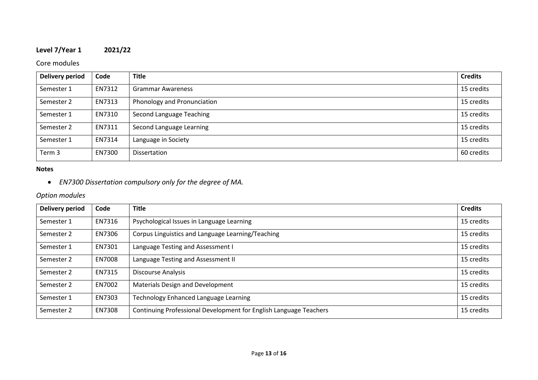# **Level 7/Year 1 2021/22**

# Core modules

| <b>Delivery period</b> | Code   | <b>Title</b>                | <b>Credits</b> |
|------------------------|--------|-----------------------------|----------------|
| Semester 1             | EN7312 | <b>Grammar Awareness</b>    | 15 credits     |
| Semester 2             | EN7313 | Phonology and Pronunciation | 15 credits     |
| Semester 1             | EN7310 | Second Language Teaching    | 15 credits     |
| Semester 2             | EN7311 | Second Language Learning    | 15 credits     |
| Semester 1             | EN7314 | Language in Society         | 15 credits     |
| Term 3                 | EN7300 | <b>Dissertation</b>         | 60 credits     |

### **Notes**

• *EN7300 Dissertation compulsory only for the degree of MA.*

# *Option modules*

| <b>Delivery period</b> | Code   | <b>Title</b>                                                      | <b>Credits</b> |
|------------------------|--------|-------------------------------------------------------------------|----------------|
| Semester 1             | EN7316 | Psychological Issues in Language Learning                         | 15 credits     |
| Semester 2             | EN7306 | Corpus Linguistics and Language Learning/Teaching                 | 15 credits     |
| Semester 1             | EN7301 | Language Testing and Assessment I                                 | 15 credits     |
| Semester 2             | EN7008 | Language Testing and Assessment II                                | 15 credits     |
| Semester 2             | EN7315 | <b>Discourse Analysis</b>                                         | 15 credits     |
| Semester 2             | EN7002 | Materials Design and Development                                  | 15 credits     |
| Semester 1             | EN7303 | Technology Enhanced Language Learning                             | 15 credits     |
| Semester 2             | EN7308 | Continuing Professional Development for English Language Teachers | 15 credits     |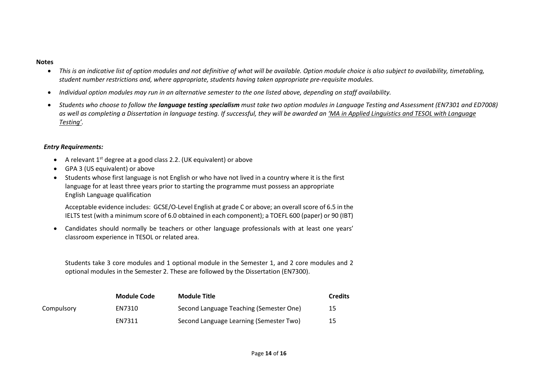#### **Notes**

- *This is an indicative list of option modules and not definitive of what will be available. Option module choice is also subject to availability, timetabling, student number restrictions and, where appropriate, students having taken appropriate pre-requisite modules.*
- *Individual option modules may run in an alternative semester to the one listed above, depending on staff availability.*
- *Students who choose to follow the language testing specialism must take two option modules in Language Testing and Assessment (EN7301 and ED7008) as well as completing a Dissertation in language testing. If successful, they will be awarded an 'MA in Applied Linguistics and TESOL with Language Testing'.*

## *Entry Requirements:*

- A relevant 1<sup>st</sup> degree at a good class 2.2. (UK equivalent) or above
- GPA 3 (US equivalent) or above
- Students whose first language is not English or who have not lived in a country where it is the first language for at least three years prior to starting the programme must possess an appropriate English Language qualification

Acceptable evidence includes: GCSE/O-Level English at grade C or above; an overall score of 6.5 in the IELTS test (with a minimum score of 6.0 obtained in each component); a TOEFL 600 (paper) or 90 (IBT)

• Candidates should normally be teachers or other language professionals with at least one years' classroom experience in TESOL or related area.

Students take 3 core modules and 1 optional module in the Semester 1, and 2 core modules and 2 optional modules in the Semester 2. These are followed by the Dissertation (EN7300).

|            | <b>Module Code</b> | <b>Module Title</b>                     | <b>Credits</b> |
|------------|--------------------|-----------------------------------------|----------------|
| Compulsory | EN7310             | Second Language Teaching (Semester One) | -15            |
|            | <b>EN7311</b>      | Second Language Learning (Semester Two) | 15             |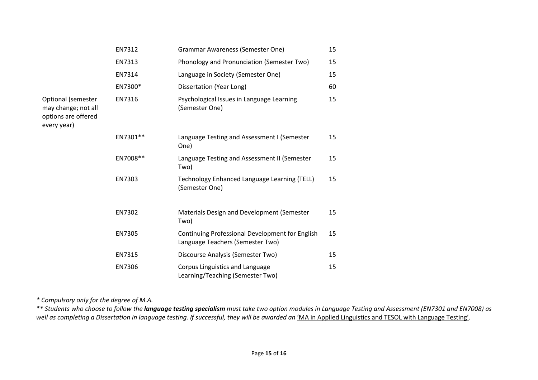|                                                                                 | EN7312   | <b>Grammar Awareness (Semester One)</b>                                             | 15 |
|---------------------------------------------------------------------------------|----------|-------------------------------------------------------------------------------------|----|
|                                                                                 | EN7313   | Phonology and Pronunciation (Semester Two)                                          | 15 |
|                                                                                 | EN7314   | Language in Society (Semester One)                                                  | 15 |
|                                                                                 | EN7300*  | Dissertation (Year Long)                                                            | 60 |
| Optional (semester<br>may change; not all<br>options are offered<br>every year) | EN7316   | Psychological Issues in Language Learning<br>(Semester One)                         | 15 |
|                                                                                 | EN7301** | Language Testing and Assessment I (Semester<br>One)                                 | 15 |
|                                                                                 | EN7008** | Language Testing and Assessment II (Semester<br>Two)                                | 15 |
|                                                                                 | EN7303   | Technology Enhanced Language Learning (TELL)<br>(Semester One)                      | 15 |
|                                                                                 | EN7302   | Materials Design and Development (Semester<br>Two)                                  | 15 |
|                                                                                 | EN7305   | Continuing Professional Development for English<br>Language Teachers (Semester Two) | 15 |
|                                                                                 | EN7315   | Discourse Analysis (Semester Two)                                                   | 15 |
|                                                                                 | EN7306   | Corpus Linguistics and Language<br>Learning/Teaching (Semester Two)                 | 15 |

*\* Compulsory only for the degree of M.A.*

*\*\* Students who choose to follow the language testing specialism must take two option modules in Language Testing and Assessment (EN7301 and EN7008) as*  well as completing a Dissertation in language testing. If successful, they will be awarded an 'MA in Applied Linguistics and TESOL with Language Testing'.